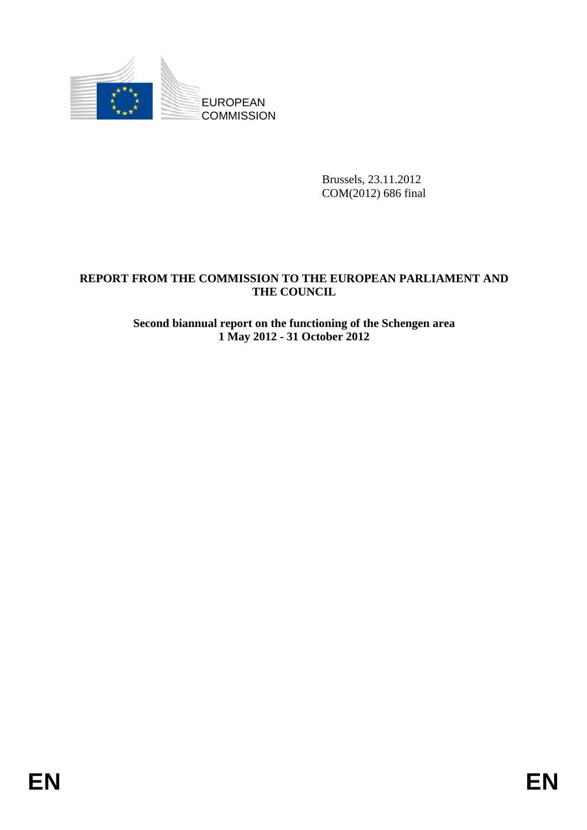

Brussels, 23.11.2012 COM(2012) 686 final

## **REPORT FROM THE COMMISSION TO THE EUROPEAN PARLIAMENT AND THE COUNCIL**

#### **Second biannual report on the functioning of the Schengen area 1 May 2012 - 31 October 2012**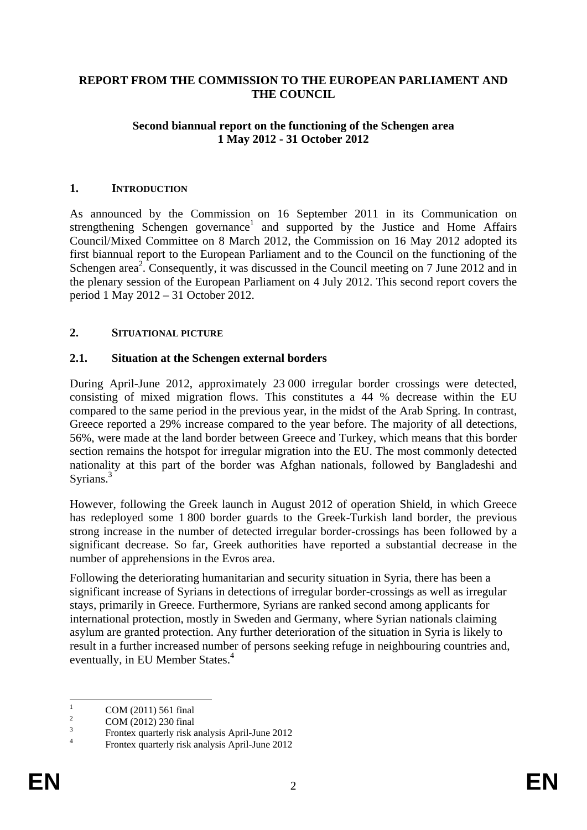#### **REPORT FROM THE COMMISSION TO THE EUROPEAN PARLIAMENT AND THE COUNCIL**

#### **Second biannual report on the functioning of the Schengen area 1 May 2012 - 31 October 2012**

#### **1. INTRODUCTION**

As announced by the Commission on 16 September 2011 in its Communication on strengthening Schengen governance<sup>1</sup> and supported by the Justice and Home Affairs Council/Mixed Committee on 8 March 2012, the Commission on 16 May 2012 adopted its first biannual report to the European Parliament and to the Council on the functioning of the Schengen area<sup>2</sup>. Consequently, it was discussed in the Council meeting on 7 June 2012 and in the plenary session of the European Parliament on 4 July 2012. This second report covers the period 1 May 2012 – 31 October 2012.

#### **2. SITUATIONAL PICTURE**

#### **2.1. Situation at the Schengen external borders**

During April-June 2012, approximately 23 000 irregular border crossings were detected, consisting of mixed migration flows. This constitutes a 44 % decrease within the EU compared to the same period in the previous year, in the midst of the Arab Spring. In contrast, Greece reported a 29% increase compared to the year before. The majority of all detections, 56%, were made at the land border between Greece and Turkey, which means that this border section remains the hotspot for irregular migration into the EU. The most commonly detected nationality at this part of the border was Afghan nationals, followed by Bangladeshi and Syrians.<sup>3</sup>

However, following the Greek launch in August 2012 of operation Shield, in which Greece has redeployed some 1 800 border guards to the Greek-Turkish land border, the previous strong increase in the number of detected irregular border-crossings has been followed by a significant decrease. So far, Greek authorities have reported a substantial decrease in the number of apprehensions in the Evros area.

Following the deteriorating humanitarian and security situation in Syria, there has been a significant increase of Syrians in detections of irregular border-crossings as well as irregular stays, primarily in Greece. Furthermore, Syrians are ranked second among applicants for international protection, mostly in Sweden and Germany, where Syrian nationals claiming asylum are granted protection. Any further deterioration of the situation in Syria is likely to result in a further increased number of persons seeking refuge in neighbouring countries and, eventually, in EU Member States.<sup>4</sup>

 $\frac{1}{1}$  COM (2011) 561 final 2

COM (2012) 230 final 3

Frontex quarterly risk analysis April-June 2012 4

Frontex quarterly risk analysis April-June 2012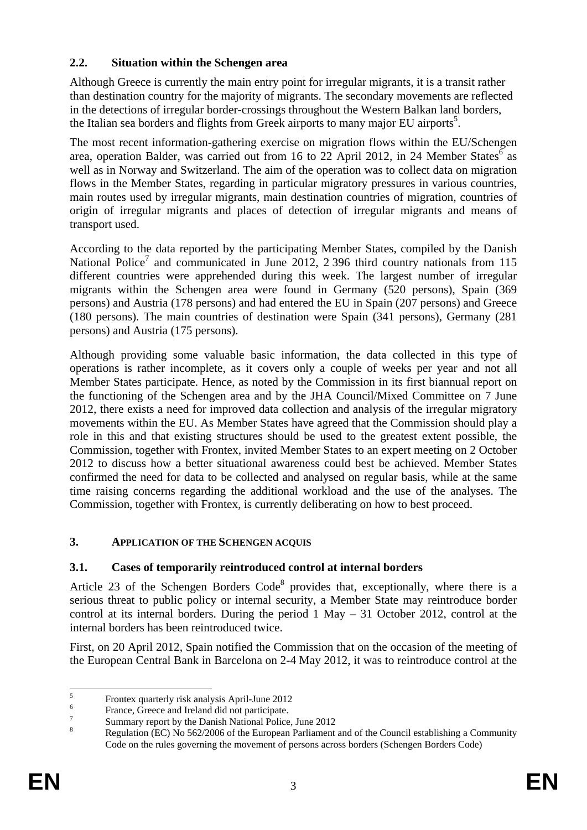# **2.2. Situation within the Schengen area**

Although Greece is currently the main entry point for irregular migrants, it is a transit rather than destination country for the majority of migrants. The secondary movements are reflected in the detections of irregular border-crossings throughout the Western Balkan land borders, the Italian sea borders and flights from Greek airports to many major EU airports<sup>5</sup>.

The most recent information-gathering exercise on migration flows within the EU/Schengen area, operation Balder, was carried out from 16 to 22 April 2012, in 24 Member States as well as in Norway and Switzerland. The aim of the operation was to collect data on migration flows in the Member States, regarding in particular migratory pressures in various countries, main routes used by irregular migrants, main destination countries of migration, countries of origin of irregular migrants and places of detection of irregular migrants and means of transport used.

According to the data reported by the participating Member States, compiled by the Danish National Police<sup>7</sup> and communicated in June 2012, 2 396 third country nationals from 115 different countries were apprehended during this week. The largest number of irregular migrants within the Schengen area were found in Germany (520 persons), Spain (369 persons) and Austria (178 persons) and had entered the EU in Spain (207 persons) and Greece (180 persons). The main countries of destination were Spain (341 persons), Germany (281 persons) and Austria (175 persons).

Although providing some valuable basic information, the data collected in this type of operations is rather incomplete, as it covers only a couple of weeks per year and not all Member States participate. Hence, as noted by the Commission in its first biannual report on the functioning of the Schengen area and by the JHA Council/Mixed Committee on 7 June 2012, there exists a need for improved data collection and analysis of the irregular migratory movements within the EU. As Member States have agreed that the Commission should play a role in this and that existing structures should be used to the greatest extent possible, the Commission, together with Frontex, invited Member States to an expert meeting on 2 October 2012 to discuss how a better situational awareness could best be achieved. Member States confirmed the need for data to be collected and analysed on regular basis, while at the same time raising concerns regarding the additional workload and the use of the analyses. The Commission, together with Frontex, is currently deliberating on how to best proceed.

## **3. APPLICATION OF THE SCHENGEN ACQUIS**

## **3.1. Cases of temporarily reintroduced control at internal borders**

Article 23 of the Schengen Borders  $Code<sup>8</sup>$  provides that, exceptionally, where there is a serious threat to public policy or internal security, a Member State may reintroduce border control at its internal borders. During the period 1 May – 31 October 2012, control at the internal borders has been reintroduced twice.

First, on 20 April 2012, Spain notified the Commission that on the occasion of the meeting of the European Central Bank in Barcelona on 2-4 May 2012, it was to reintroduce control at the

 $\frac{1}{5}$ Frontex quarterly risk analysis April-June 2012

<sup>6</sup> France, Greece and Ireland did not participate.

<sup>7</sup> Summary report by the Danish National Police, June 2012

<sup>8</sup> Regulation (EC) No 562/2006 of the European Parliament and of the Council establishing a Community Code on the rules governing the movement of persons across borders (Schengen Borders Code)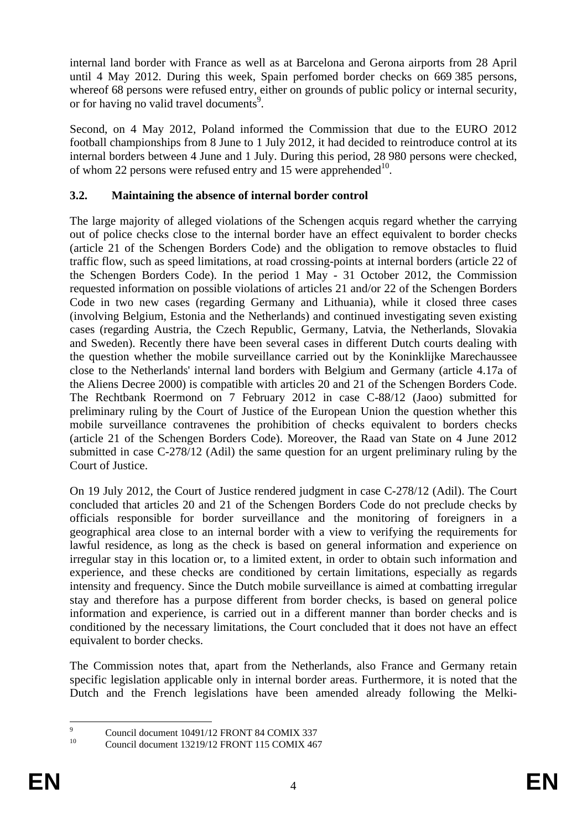internal land border with France as well as at Barcelona and Gerona airports from 28 April until 4 May 2012. During this week, Spain perfomed border checks on 669 385 persons, whereof 68 persons were refused entry, either on grounds of public policy or internal security, or for having no valid travel documents<sup>9</sup>.

Second, on 4 May 2012, Poland informed the Commission that due to the EURO 2012 football championships from 8 June to 1 July 2012, it had decided to reintroduce control at its internal borders between 4 June and 1 July. During this period, 28 980 persons were checked, of whom 22 persons were refused entry and 15 were apprehended<sup>10</sup>.

## **3.2. Maintaining the absence of internal border control**

The large majority of alleged violations of the Schengen acquis regard whether the carrying out of police checks close to the internal border have an effect equivalent to border checks (article 21 of the Schengen Borders Code) and the obligation to remove obstacles to fluid traffic flow, such as speed limitations, at road crossing-points at internal borders (article 22 of the Schengen Borders Code). In the period 1 May - 31 October 2012, the Commission requested information on possible violations of articles 21 and/or 22 of the Schengen Borders Code in two new cases (regarding Germany and Lithuania), while it closed three cases (involving Belgium, Estonia and the Netherlands) and continued investigating seven existing cases (regarding Austria, the Czech Republic, Germany, Latvia, the Netherlands, Slovakia and Sweden). Recently there have been several cases in different Dutch courts dealing with the question whether the mobile surveillance carried out by the Koninklijke Marechaussee close to the Netherlands' internal land borders with Belgium and Germany (article 4.17a of the Aliens Decree 2000) is compatible with articles 20 and 21 of the Schengen Borders Code. The Rechtbank Roermond on 7 February 2012 in case C-88/12 (Jaoo) submitted for preliminary ruling by the Court of Justice of the European Union the question whether this mobile surveillance contravenes the prohibition of checks equivalent to borders checks (article 21 of the Schengen Borders Code). Moreover, the Raad van State on 4 June 2012 submitted in case C-278/12 (Adil) the same question for an urgent preliminary ruling by the Court of Justice.

On 19 July 2012, the Court of Justice rendered judgment in case C-278/12 (Adil). The Court concluded that articles 20 and 21 of the Schengen Borders Code do not preclude checks by officials responsible for border surveillance and the monitoring of foreigners in a geographical area close to an internal border with a view to verifying the requirements for lawful residence, as long as the check is based on general information and experience on irregular stay in this location or, to a limited extent, in order to obtain such information and experience, and these checks are conditioned by certain limitations, especially as regards intensity and frequency. Since the Dutch mobile surveillance is aimed at combatting irregular stay and therefore has a purpose different from border checks, is based on general police information and experience, is carried out in a different manner than border checks and is conditioned by the necessary limitations, the Court concluded that it does not have an effect equivalent to border checks.

The Commission notes that, apart from the Netherlands, also France and Germany retain specific legislation applicable only in internal border areas. Furthermore, it is noted that the Dutch and the French legislations have been amended already following the Melki-

<sup>-&</sup>lt;br>9  $^{9}$  Council document 10491/12 FRONT 84 COMIX 337

<sup>10</sup> Council document 13219/12 FRONT 115 COMIX 467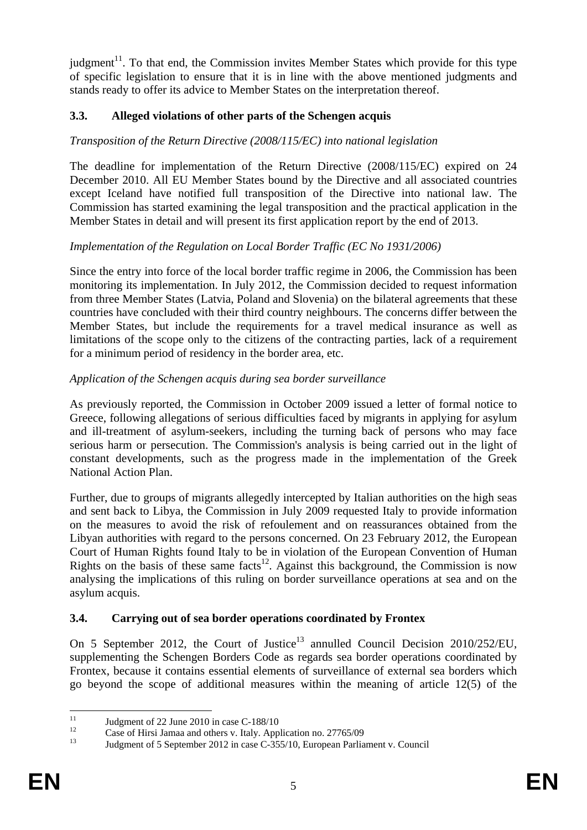judgment<sup>11</sup>. To that end, the Commission invites Member States which provide for this type of specific legislation to ensure that it is in line with the above mentioned judgments and stands ready to offer its advice to Member States on the interpretation thereof.

## **3.3. Alleged violations of other parts of the Schengen acquis**

## *Transposition of the Return Directive (2008/115/EC) into national legislation*

The deadline for implementation of the Return Directive (2008/115/EC) expired on 24 December 2010. All EU Member States bound by the Directive and all associated countries except Iceland have notified full transposition of the Directive into national law. The Commission has started examining the legal transposition and the practical application in the Member States in detail and will present its first application report by the end of 2013.

## *Implementation of the Regulation on Local Border Traffic (EC No 1931/2006)*

Since the entry into force of the local border traffic regime in 2006, the Commission has been monitoring its implementation. In July 2012, the Commission decided to request information from three Member States (Latvia, Poland and Slovenia) on the bilateral agreements that these countries have concluded with their third country neighbours. The concerns differ between the Member States, but include the requirements for a travel medical insurance as well as limitations of the scope only to the citizens of the contracting parties, lack of a requirement for a minimum period of residency in the border area, etc.

## *Application of the Schengen acquis during sea border surveillance*

As previously reported, the Commission in October 2009 issued a letter of formal notice to Greece, following allegations of serious difficulties faced by migrants in applying for asylum and ill-treatment of asylum-seekers, including the turning back of persons who may face serious harm or persecution. The Commission's analysis is being carried out in the light of constant developments, such as the progress made in the implementation of the Greek National Action Plan.

Further, due to groups of migrants allegedly intercepted by Italian authorities on the high seas and sent back to Libya, the Commission in July 2009 requested Italy to provide information on the measures to avoid the risk of refoulement and on reassurances obtained from the Libyan authorities with regard to the persons concerned. On 23 February 2012, the European Court of Human Rights found Italy to be in violation of the European Convention of Human Rights on the basis of these same facts<sup>12</sup>. Against this background, the Commission is now analysing the implications of this ruling on border surveillance operations at sea and on the asylum acquis.

## **3.4. Carrying out of sea border operations coordinated by Frontex**

On 5 September 2012, the Court of Justice<sup>13</sup> annulled Council Decision 2010/252/EU, supplementing the Schengen Borders Code as regards sea border operations coordinated by Frontex, because it contains essential elements of surveillance of external sea borders which go beyond the scope of additional measures within the meaning of article 12(5) of the

 $11$ <sup>11</sup> Judgment of 22 June 2010 in case C-188/10

<sup>&</sup>lt;sup>12</sup> Case of Hirsi Jamaa and others v. Italy. Application no. 27765/09<br><sup>13</sup> Lydemant of 5 September 2012 in asses G 255/10. European Perlie

Judgment of 5 September 2012 in case C-355/10, European Parliament v. Council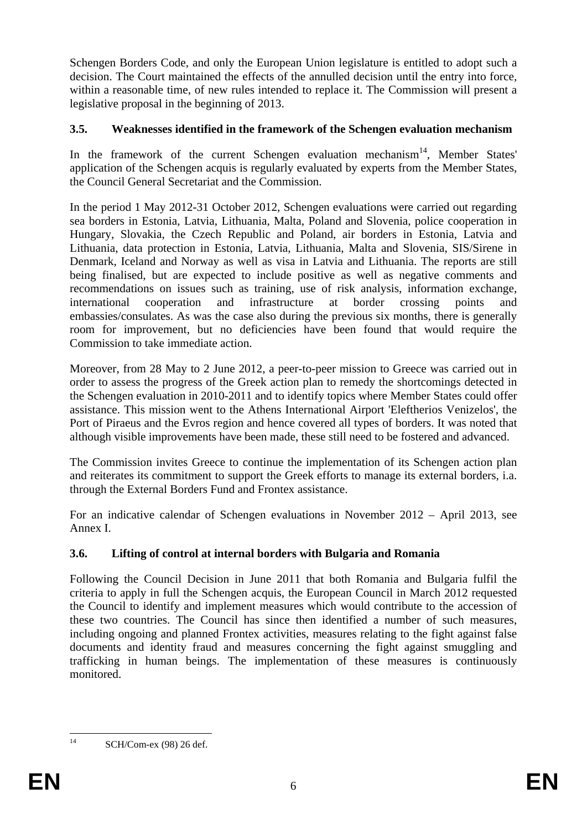Schengen Borders Code, and only the European Union legislature is entitled to adopt such a decision. The Court maintained the effects of the annulled decision until the entry into force, within a reasonable time, of new rules intended to replace it. The Commission will present a legislative proposal in the beginning of 2013.

## **3.5. Weaknesses identified in the framework of the Schengen evaluation mechanism**

In the framework of the current Schengen evaluation mechanism<sup>14</sup>, Member States' application of the Schengen acquis is regularly evaluated by experts from the Member States, the Council General Secretariat and the Commission.

In the period 1 May 2012-31 October 2012, Schengen evaluations were carried out regarding sea borders in Estonia, Latvia, Lithuania, Malta, Poland and Slovenia, police cooperation in Hungary, Slovakia, the Czech Republic and Poland, air borders in Estonia, Latvia and Lithuania, data protection in Estonia, Latvia, Lithuania, Malta and Slovenia, SIS/Sirene in Denmark, Iceland and Norway as well as visa in Latvia and Lithuania. The reports are still being finalised, but are expected to include positive as well as negative comments and recommendations on issues such as training, use of risk analysis, information exchange, international cooperation and infrastructure at border crossing points and embassies/consulates. As was the case also during the previous six months, there is generally room for improvement, but no deficiencies have been found that would require the Commission to take immediate action.

Moreover, from 28 May to 2 June 2012, a peer-to-peer mission to Greece was carried out in order to assess the progress of the Greek action plan to remedy the shortcomings detected in the Schengen evaluation in 2010-2011 and to identify topics where Member States could offer assistance. This mission went to the Athens International Airport 'Eleftherios Venizelos', the Port of Piraeus and the Evros region and hence covered all types of borders. It was noted that although visible improvements have been made, these still need to be fostered and advanced.

The Commission invites Greece to continue the implementation of its Schengen action plan and reiterates its commitment to support the Greek efforts to manage its external borders, i.a. through the External Borders Fund and Frontex assistance.

For an indicative calendar of Schengen evaluations in November 2012 – April 2013, see Annex I.

# **3.6. Lifting of control at internal borders with Bulgaria and Romania**

Following the Council Decision in June 2011 that both Romania and Bulgaria fulfil the criteria to apply in full the Schengen acquis, the European Council in March 2012 requested the Council to identify and implement measures which would contribute to the accession of these two countries. The Council has since then identified a number of such measures, including ongoing and planned Frontex activities, measures relating to the fight against false documents and identity fraud and measures concerning the fight against smuggling and trafficking in human beings. The implementation of these measures is continuously monitored.

 $14$ 

SCH/Com-ex (98) 26 def.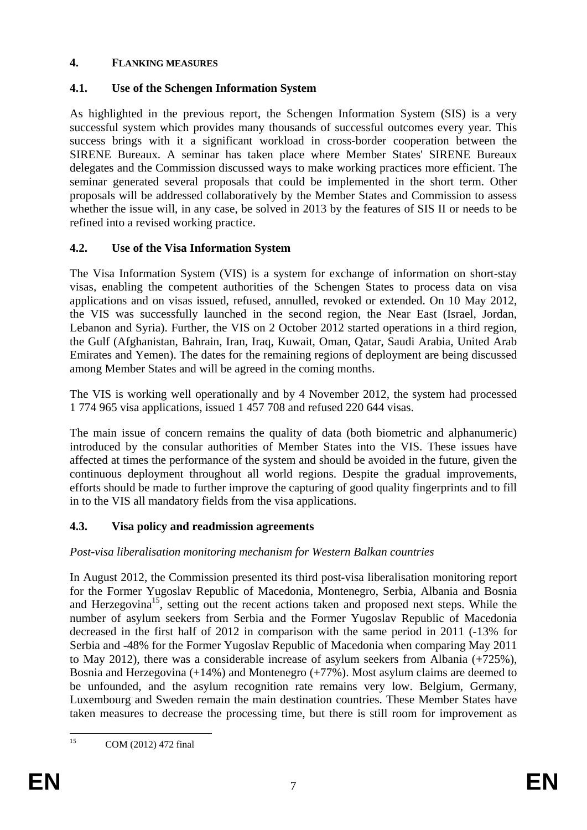## **4. FLANKING MEASURES**

# **4.1. Use of the Schengen Information System**

As highlighted in the previous report, the Schengen Information System (SIS) is a very successful system which provides many thousands of successful outcomes every year. This success brings with it a significant workload in cross-border cooperation between the SIRENE Bureaux. A seminar has taken place where Member States' SIRENE Bureaux delegates and the Commission discussed ways to make working practices more efficient. The seminar generated several proposals that could be implemented in the short term. Other proposals will be addressed collaboratively by the Member States and Commission to assess whether the issue will, in any case, be solved in 2013 by the features of SIS II or needs to be refined into a revised working practice.

## **4.2. Use of the Visa Information System**

The Visa Information System (VIS) is a system for exchange of information on short-stay visas, enabling the competent authorities of the Schengen States to process data on visa applications and on visas issued, refused, annulled, revoked or extended. On 10 May 2012, the VIS was successfully launched in the second region, the Near East (Israel, Jordan, Lebanon and Syria). Further, the VIS on 2 October 2012 started operations in a third region, the Gulf (Afghanistan, Bahrain, Iran, Iraq, Kuwait, Oman, Qatar, Saudi Arabia, United Arab Emirates and Yemen). The dates for the remaining regions of deployment are being discussed among Member States and will be agreed in the coming months.

The VIS is working well operationally and by 4 November 2012, the system had processed 1 774 965 visa applications, issued 1 457 708 and refused 220 644 visas.

The main issue of concern remains the quality of data (both biometric and alphanumeric) introduced by the consular authorities of Member States into the VIS. These issues have affected at times the performance of the system and should be avoided in the future, given the continuous deployment throughout all world regions. Despite the gradual improvements, efforts should be made to further improve the capturing of good quality fingerprints and to fill in to the VIS all mandatory fields from the visa applications.

# **4.3. Visa policy and readmission agreements**

## *Post-visa liberalisation monitoring mechanism for Western Balkan countries*

In August 2012, the Commission presented its third post-visa liberalisation monitoring report for the Former Yugoslav Republic of Macedonia, Montenegro, Serbia, Albania and Bosnia and Herzegovina<sup>15</sup>, setting out the recent actions taken and proposed next steps. While the number of asylum seekers from Serbia and the Former Yugoslav Republic of Macedonia decreased in the first half of 2012 in comparison with the same period in 2011 (-13% for Serbia and -48% for the Former Yugoslav Republic of Macedonia when comparing May 2011 to May 2012), there was a considerable increase of asylum seekers from Albania (+725%), Bosnia and Herzegovina (+14%) and Montenegro (+77%). Most asylum claims are deemed to be unfounded, and the asylum recognition rate remains very low. Belgium, Germany, Luxembourg and Sweden remain the main destination countries. These Member States have taken measures to decrease the processing time, but there is still room for improvement as

 $15$ COM (2012) 472 final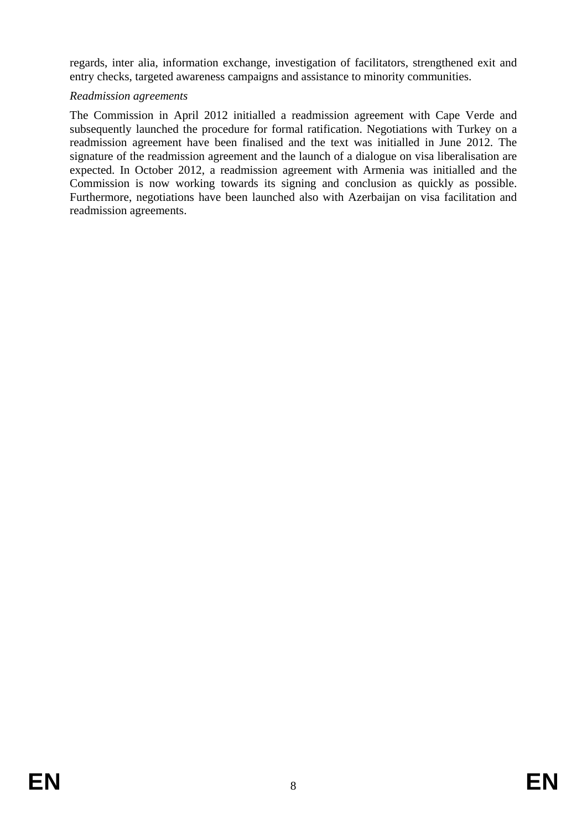regards, inter alia, information exchange, investigation of facilitators, strengthened exit and entry checks, targeted awareness campaigns and assistance to minority communities.

#### *Readmission agreements*

The Commission in April 2012 initialled a readmission agreement with Cape Verde and subsequently launched the procedure for formal ratification. Negotiations with Turkey on a readmission agreement have been finalised and the text was initialled in June 2012. The signature of the readmission agreement and the launch of a dialogue on visa liberalisation are expected. In October 2012, a readmission agreement with Armenia was initialled and the Commission is now working towards its signing and conclusion as quickly as possible. Furthermore, negotiations have been launched also with Azerbaijan on visa facilitation and readmission agreements.